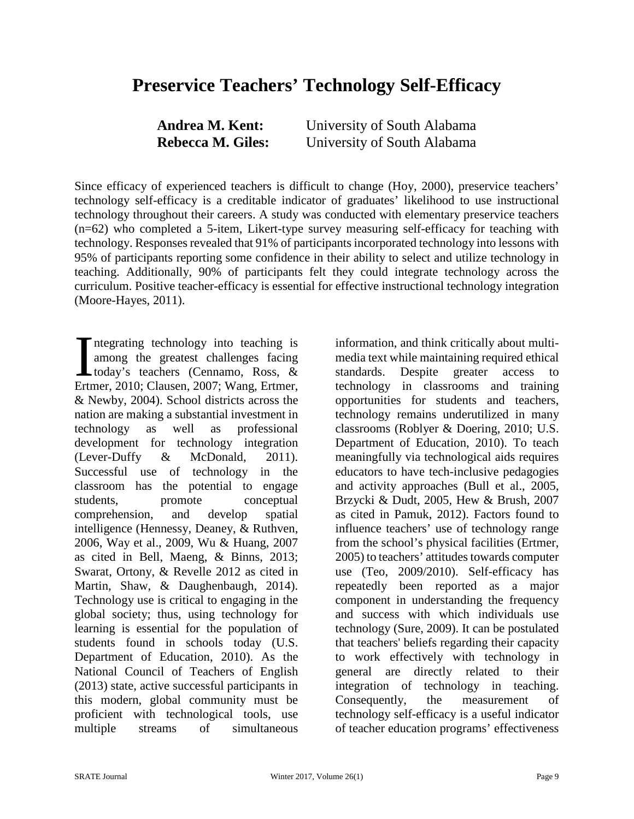# **Preservice Teachers' Technology Self-Efficacy**

| Andrea M. Kent:          | University of South Alabama |
|--------------------------|-----------------------------|
| <b>Rebecca M. Giles:</b> | University of South Alabama |

Since efficacy of experienced teachers is difficult to change (Hoy, 2000), preservice teachers' technology self-efficacy is a creditable indicator of graduates' likelihood to use instructional technology throughout their careers. A study was conducted with elementary preservice teachers (n=62) who completed a 5-item, Likert-type survey measuring self-efficacy for teaching with technology. Responses revealed that 91% of participants incorporated technology into lessons with 95% of participants reporting some confidence in their ability to select and utilize technology in teaching. Additionally, 90% of participants felt they could integrate technology across the curriculum. Positive teacher-efficacy is essential for effective instructional technology integration (Moore-Hayes, 2011).

ntegrating technology into teaching is among the greatest challenges facing today's teachers (Cennamo, Ross, & Ertmer, 2010; Clausen, 2007; Wang, Ertmer, & Newby, 2004). School districts across the nation are making a substantial investment in technology as well as professional development for technology integration (Lever-Duffy & McDonald, 2011). Successful use of technology in the classroom has the potential to engage students, promote conceptual comprehension, and develop spatial intelligence (Hennessy, Deaney, & Ruthven, 2006, Way et al., 2009, Wu & Huang, 2007 as cited in Bell, Maeng, & Binns, 2013; Swarat, Ortony, & Revelle 2012 as cited in Martin, Shaw, & Daughenbaugh, 2014). Technology use is critical to engaging in the global society; thus, using technology for learning is essential for the population of students found in schools today (U.S. Department of Education, 2010). As the National Council of Teachers of English (2013) state, active successful participants in this modern, global community must be proficient with technological tools, use multiple streams of simultaneous  $\prod_{\text{Ertr}}$ 

information, and think critically about multimedia text while maintaining required ethical standards. Despite greater access to technology in classrooms and training opportunities for students and teachers, technology remains underutilized in many classrooms (Roblyer & Doering, 2010; U.S. Department of Education, 2010). To teach meaningfully via technological aids requires educators to have tech-inclusive pedagogies and activity approaches (Bull et al., 2005, Brzycki & Dudt, 2005, Hew & Brush, 2007 as cited in Pamuk, 2012). Factors found to influence teachers' use of technology range from the school's physical facilities (Ertmer, 2005) to teachers' attitudes towards computer use (Teo, 2009/2010). Self-efficacy has repeatedly been reported as a major component in understanding the frequency and success with which individuals use technology (Sure, 2009). It can be postulated that teachers' beliefs regarding their capacity to work effectively with technology in general are directly related to their integration of technology in teaching. Consequently, the measurement of technology self-efficacy is a useful indicator of teacher education programs' effectiveness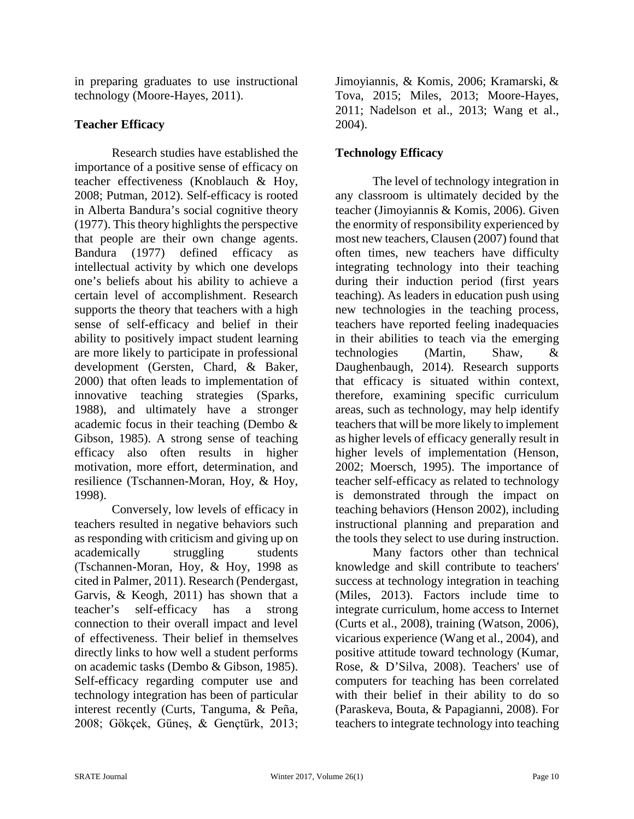in preparing graduates to use instructional technology (Moore-Hayes, 2011).

#### **Teacher Efficacy**

Research studies have established the importance of a positive sense of efficacy on teacher effectiveness (Knoblauch & Hoy, 2008; Putman, 2012). Self-efficacy is rooted in Alberta Bandura's social cognitive theory (1977). This theory highlights the perspective that people are their own change agents. Bandura (1977) defined efficacy as intellectual activity by which one develops one's beliefs about his ability to achieve a certain level of accomplishment. Research supports the theory that teachers with a high sense of self-efficacy and belief in their ability to positively impact student learning are more likely to participate in professional development (Gersten, Chard, & Baker, 2000) that often leads to implementation of innovative teaching strategies (Sparks, 1988), and ultimately have a stronger academic focus in their teaching (Dembo & Gibson, 1985). A strong sense of teaching efficacy also often results in higher motivation, more effort, determination, and resilience (Tschannen-Moran, Hoy, & Hoy, 1998).

Conversely, low levels of efficacy in teachers resulted in negative behaviors such as responding with criticism and giving up on academically struggling students (Tschannen-Moran, Hoy, & Hoy, 1998 as cited in Palmer, 2011). Research (Pendergast, Garvis, & Keogh, 2011) has shown that a teacher's self-efficacy has a strong connection to their overall impact and level of effectiveness. Their belief in themselves directly links to how well a student performs on academic tasks (Dembo & Gibson, 1985). Self-efficacy regarding computer use and technology integration has been of particular interest recently (Curts, Tanguma, & Peña, 2008; Gökçek, Güneş, & Gençtürk, 2013;

Jimoyiannis, & Komis, 2006; [Kramarski,](http://link.springer.com/search?facet-author=%22Bracha+Kramarski%22) & Tova, 2015; Miles, 2013; Moore-Hayes, 2011; Nadelson et al., 2013; Wang et al., 2004).

## **Technology Efficacy**

The level of technology integration in any classroom is ultimately decided by the teacher (Jimoyiannis & Komis, 2006). Given the enormity of responsibility experienced by most new teachers, Clausen (2007) found that often times, new teachers have difficulty integrating technology into their teaching during their induction period (first years teaching). As leaders in education push using new technologies in the teaching process, teachers have reported feeling inadequacies in their abilities to teach via the emerging technologies (Martin, Shaw, & Daughenbaugh, 2014). Research supports that efficacy is situated within context, therefore, examining specific curriculum areas, such as technology, may help identify teachers that will be more likely to implement as higher levels of efficacy generally result in higher levels of implementation (Henson, 2002; Moersch, 1995). The importance of teacher self-efficacy as related to technology is demonstrated through the impact on teaching behaviors (Henson 2002), including instructional planning and preparation and the tools they select to use during instruction.

Many factors other than technical knowledge and skill contribute to teachers' success at technology integration in teaching (Miles, 2013). Factors include time to integrate curriculum, home access to Internet (Curts et al., 2008), training (Watson, 2006), vicarious experience (Wang et al., 2004), and positive attitude toward technology (Kumar, Rose, & D'Silva, 2008). Teachers' use of computers for teaching has been correlated with their belief in their ability to do so (Paraskeva, Bouta, & Papagianni, 2008). For teachers to integrate technology into teaching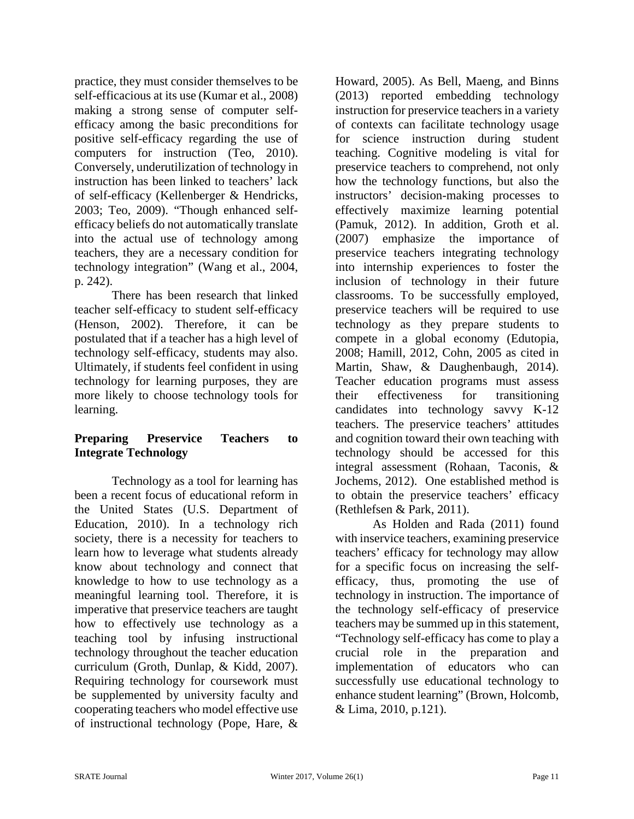practice, they must consider themselves to be self-efficacious at its use (Kumar et al., 2008) making a strong sense of computer selfefficacy among the basic preconditions for positive self-efficacy regarding the use of computers for instruction (Teo, 2010). Conversely, underutilization of technology in instruction has been linked to teachers' lack of self-efficacy (Kellenberger & Hendricks, 2003; Teo, 2009). "Though enhanced selfefficacy beliefs do not automatically translate into the actual use of technology among teachers, they are a necessary condition for technology integration" (Wang et al., 2004, p. 242).

There has been research that linked teacher self-efficacy to student self-efficacy (Henson, 2002). Therefore, it can be postulated that if a teacher has a high level of technology self-efficacy, students may also. Ultimately, if students feel confident in using technology for learning purposes, they are more likely to choose technology tools for learning.

#### **Preparing Preservice Teachers to Integrate Technology**

Technology as a tool for learning has been a recent focus of educational reform in the United States (U.S. Department of Education, 2010). In a technology rich society, there is a necessity for teachers to learn how to leverage what students already know about technology and connect that knowledge to how to use technology as a meaningful learning tool. Therefore, it is imperative that preservice teachers are taught how to effectively use technology as a teaching tool by infusing instructional technology throughout the teacher education curriculum (Groth, Dunlap, & Kidd, 2007). Requiring technology for coursework must be supplemented by university faculty and cooperating teachers who model effective use of instructional technology (Pope, Hare, &

Howard, 2005). As Bell, Maeng, and Binns (2013) reported embedding technology instruction for preservice teachers in a variety of contexts can facilitate technology usage for science instruction during student teaching. Cognitive modeling is vital for preservice teachers to comprehend, not only how the technology functions, but also the instructors' decision-making processes to effectively maximize learning potential (Pamuk, 2012). In addition, Groth et al. (2007) emphasize the importance of preservice teachers integrating technology into internship experiences to foster the inclusion of technology in their future classrooms. To be successfully employed, preservice teachers will be required to use technology as they prepare students to compete in a global economy (Edutopia, 2008; Hamill, 2012, Cohn, 2005 as cited in Martin, Shaw, & Daughenbaugh, 2014). Teacher education programs must assess their effectiveness for transitioning candidates into technology savvy K-12 teachers. The preservice teachers' attitudes and cognition toward their own teaching with technology should be accessed for this integral assessment (Rohaan, Taconis, & Jochems, 2012). One established method is to obtain the preservice teachers' efficacy (Rethlefsen & Park, 2011).

As Holden and Rada (2011) found with inservice teachers, examining preservice teachers' efficacy for technology may allow for a specific focus on increasing the selfefficacy, thus, promoting the use of technology in instruction. The importance of the technology self-efficacy of preservice teachers may be summed up in this statement, "Technology self-efficacy has come to play a crucial role in the preparation and implementation of educators who can successfully use educational technology to enhance student learning" (Brown, Holcomb, & Lima, 2010, p.121).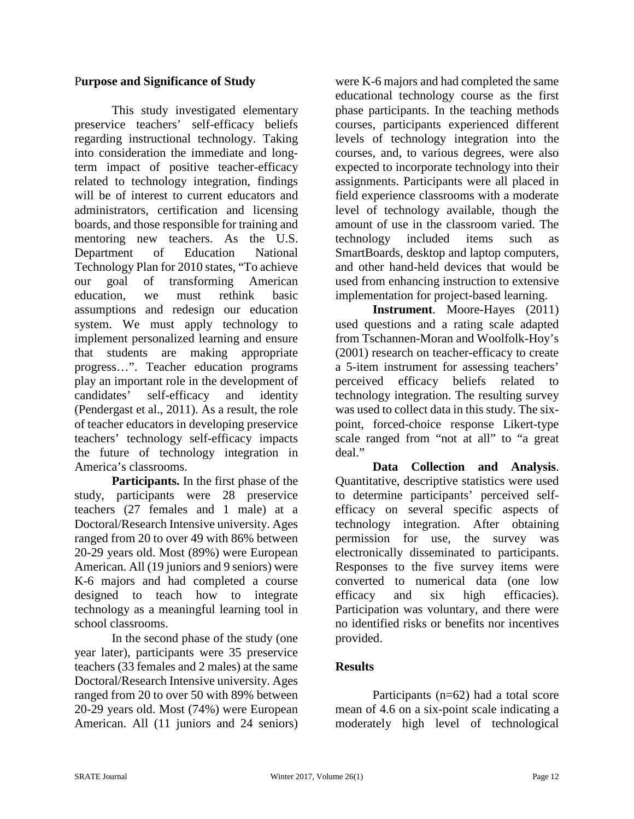#### P**urpose and Significance of Study**

This study investigated elementary preservice teachers' self-efficacy beliefs regarding instructional technology. Taking into consideration the immediate and longterm impact of positive teacher-efficacy related to technology integration, findings will be of interest to current educators and administrators, certification and licensing boards, and those responsible for training and mentoring new teachers. As the U.S. Department of Education National Technology Plan for 2010 states, "To achieve our goal of transforming American education, we must rethink basic assumptions and redesign our education system. We must apply technology to implement personalized learning and ensure that students are making appropriate progress…". Teacher education programs play an important role in the development of candidates' self-efficacy and identity (Pendergast et al., 2011). As a result, the role of teacher educators in developing preservice teachers' technology self-efficacy impacts the future of technology integration in America's classrooms.

**Participants.** In the first phase of the study, participants were 28 preservice teachers (27 females and 1 male) at a Doctoral/Research Intensive university. Ages ranged from 20 to over 49 with 86% between 20-29 years old. Most (89%) were European American. All (19 juniors and 9 seniors) were K-6 majors and had completed a course designed to teach how to integrate technology as a meaningful learning tool in school classrooms.

In the second phase of the study (one year later), participants were 35 preservice teachers (33 females and 2 males) at the same Doctoral/Research Intensive university. Ages ranged from 20 to over 50 with 89% between 20-29 years old. Most (74%) were European American. All (11 juniors and 24 seniors)

were K-6 majors and had completed the same educational technology course as the first phase participants. In the teaching methods courses, participants experienced different levels of technology integration into the courses, and, to various degrees, were also expected to incorporate technology into their assignments. Participants were all placed in field experience classrooms with a moderate level of technology available, though the amount of use in the classroom varied. The technology included items such as SmartBoards, desktop and laptop computers, and other hand-held devices that would be used from enhancing instruction to extensive implementation for project-based learning.

**Instrument**. Moore-Hayes (2011) used questions and a rating scale adapted from Tschannen-Moran and Woolfolk-Hoy's (2001) research on teacher-efficacy to create a 5-item instrument for assessing teachers' perceived efficacy beliefs related to technology integration. The resulting survey was used to collect data in this study. The sixpoint, forced-choice response Likert-type scale ranged from "not at all" to "a great deal."

**Data Collection and Analysis**. Quantitative, descriptive statistics were used to determine participants' perceived selfefficacy on several specific aspects of technology integration. After obtaining permission for use, the survey was electronically disseminated to participants. Responses to the five survey items were converted to numerical data (one low efficacy and six high efficacies). Participation was voluntary, and there were no identified risks or benefits nor incentives provided.

#### **Results**

Participants (n=62) had a total score mean of 4.6 on a six-point scale indicating a moderately high level of technological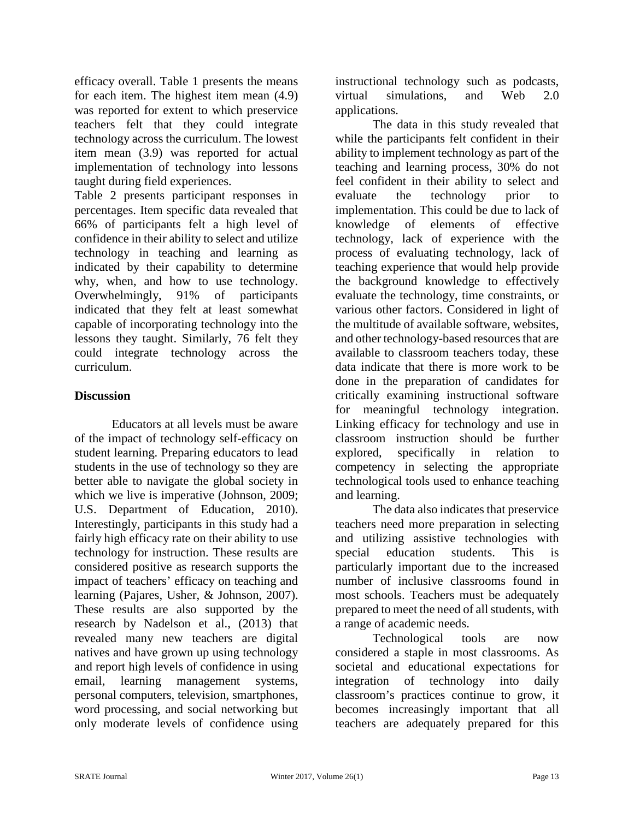efficacy overall. Table 1 presents the means for each item. The highest item mean (4.9) was reported for extent to which preservice teachers felt that they could integrate technology across the curriculum. The lowest item mean (3.9) was reported for actual implementation of technology into lessons taught during field experiences.

Table 2 presents participant responses in percentages. Item specific data revealed that 66% of participants felt a high level of confidence in their ability to select and utilize technology in teaching and learning as indicated by their capability to determine why, when, and how to use technology. Overwhelmingly, 91% of participants indicated that they felt at least somewhat capable of incorporating technology into the lessons they taught. Similarly, 76 felt they could integrate technology across the curriculum.

#### **Discussion**

Educators at all levels must be aware of the impact of technology self-efficacy on student learning. Preparing educators to lead students in the use of technology so they are better able to navigate the global society in which we live is imperative (Johnson, 2009; U.S. Department of Education, 2010). Interestingly, participants in this study had a fairly high efficacy rate on their ability to use technology for instruction. These results are considered positive as research supports the impact of teachers' efficacy on teaching and learning (Pajares, Usher, & Johnson, 2007). These results are also supported by the research by Nadelson et al., (2013) that revealed many new teachers are digital natives and have grown up using technology and report high levels of confidence in using email, learning management systems, personal computers, television, smartphones, word processing, and social networking but only moderate levels of confidence using

instructional technology such as podcasts, virtual simulations, and Web 2.0 applications.

The data in this study revealed that while the participants felt confident in their ability to implement technology as part of the teaching and learning process, 30% do not feel confident in their ability to select and evaluate the technology prior to implementation. This could be due to lack of knowledge of elements of effective technology, lack of experience with the process of evaluating technology, lack of teaching experience that would help provide the background knowledge to effectively evaluate the technology, time constraints, or various other factors. Considered in light of the multitude of available software, websites, and other technology-based resources that are available to classroom teachers today, these data indicate that there is more work to be done in the preparation of candidates for critically examining instructional software for meaningful technology integration. Linking efficacy for technology and use in classroom instruction should be further explored, specifically in relation to competency in selecting the appropriate technological tools used to enhance teaching and learning.

The data also indicates that preservice teachers need more preparation in selecting and utilizing assistive technologies with special education students. This is particularly important due to the increased number of inclusive classrooms found in most schools. Teachers must be adequately prepared to meet the need of all students, with a range of academic needs.

Technological tools are now considered a staple in most classrooms. As societal and educational expectations for integration of technology into daily classroom's practices continue to grow, it becomes increasingly important that all teachers are adequately prepared for this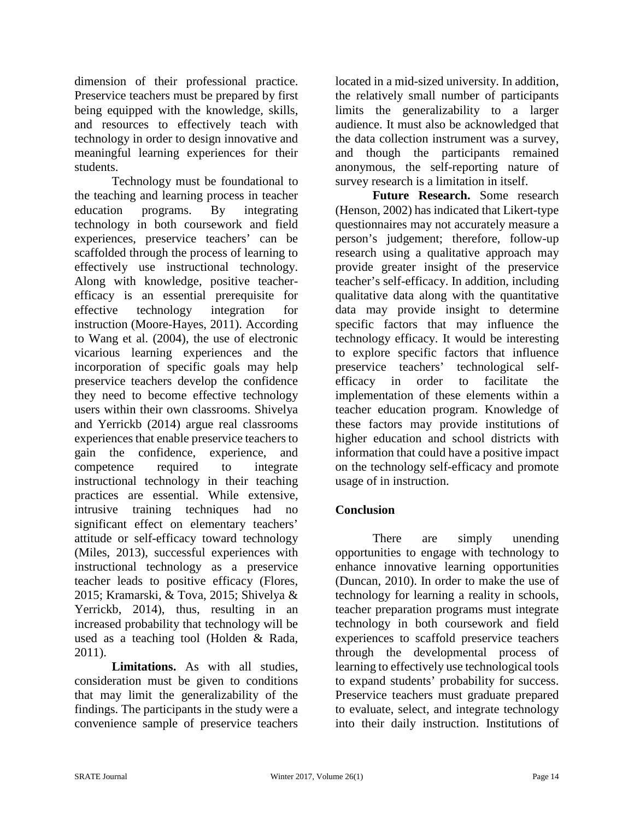dimension of their professional practice. Preservice teachers must be prepared by first being equipped with the knowledge, skills, and resources to effectively teach with technology in order to design innovative and meaningful learning experiences for their students.

Technology must be foundational to the teaching and learning process in teacher education programs. By integrating technology in both coursework and field experiences, preservice teachers' can be scaffolded through the process of learning to effectively use instructional technology. Along with knowledge, positive teacherefficacy is an essential prerequisite for effective technology integration for instruction (Moore-Hayes, 2011). According to Wang et al. (2004), the use of electronic vicarious learning experiences and the incorporation of specific goals may help preservice teachers develop the confidence they need to become effective technology users within their own classrooms. Shivelya and Yerrickb (2014) argue real classrooms experiences that enable preservice teachers to gain the confidence, experience, and competence required to integrate instructional technology in their teaching practices are essential. While extensive, intrusive training techniques had no significant effect on elementary teachers' attitude or self-efficacy toward technology (Miles, 2013), successful experiences with instructional technology as a preservice teacher leads to positive efficacy (Flores, 2015; [Kramarski,](http://link.springer.com/search?facet-author=%22Bracha+Kramarski%22) & Tova, 2015; Shivelya & Yerrickb, 2014), thus, resulting in an increased probability that technology will be used as a teaching tool (Holden & Rada, 2011).

**Limitations.** As with all studies, consideration must be given to conditions that may limit the generalizability of the findings. The participants in the study were a convenience sample of preservice teachers

located in a mid-sized university. In addition, the relatively small number of participants limits the generalizability to a larger audience. It must also be acknowledged that the data collection instrument was a survey, and though the participants remained anonymous, the self-reporting nature of survey research is a limitation in itself.

**Future Research.** Some research (Henson, 2002) has indicated that Likert-type questionnaires may not accurately measure a person's judgement; therefore, follow-up research using a qualitative approach may provide greater insight of the preservice teacher's self-efficacy. In addition, including qualitative data along with the quantitative data may provide insight to determine specific factors that may influence the technology efficacy. It would be interesting to explore specific factors that influence preservice teachers' technological selfefficacy in order to facilitate the implementation of these elements within a teacher education program. Knowledge of these factors may provide institutions of higher education and school districts with information that could have a positive impact on the technology self-efficacy and promote usage of in instruction.

### **Conclusion**

There are simply unending opportunities to engage with technology to enhance innovative learning opportunities (Duncan, 2010). In order to make the use of technology for learning a reality in schools, teacher preparation programs must integrate technology in both coursework and field experiences to scaffold preservice teachers through the developmental process of learning to effectively use technological tools to expand students' probability for success. Preservice teachers must graduate prepared to evaluate, select, and integrate technology into their daily instruction. Institutions of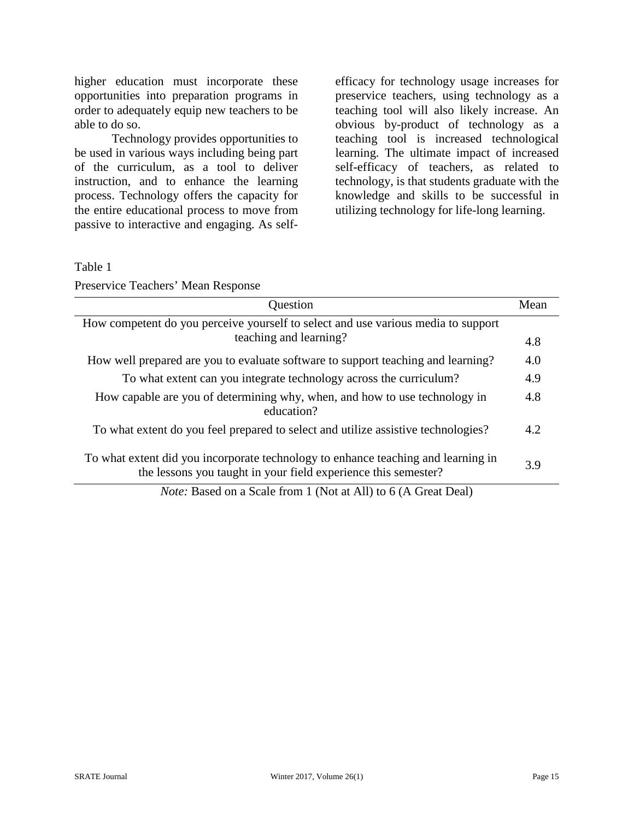higher education must incorporate these opportunities into preparation programs in order to adequately equip new teachers to be able to do so.

Technology provides opportunities to be used in various ways including being part of the curriculum, as a tool to deliver instruction, and to enhance the learning process. Technology offers the capacity for the entire educational process to move from passive to interactive and engaging. As self-

efficacy for technology usage increases for preservice teachers, using technology as a teaching tool will also likely increase. An obvious by-product of technology as a teaching tool is increased technological learning. The ultimate impact of increased self-efficacy of teachers, as related to technology, is that students graduate with the knowledge and skills to be successful in utilizing technology for life-long learning.

Table 1

| <b>Ouestion</b>                                                                                                                                     |     |  |  |
|-----------------------------------------------------------------------------------------------------------------------------------------------------|-----|--|--|
| How competent do you perceive yourself to select and use various media to support                                                                   |     |  |  |
| teaching and learning?                                                                                                                              |     |  |  |
| How well prepared are you to evaluate software to support teaching and learning?                                                                    |     |  |  |
| To what extent can you integrate technology across the curriculum?                                                                                  |     |  |  |
| How capable are you of determining why, when, and how to use technology in<br>education?                                                            | 4.8 |  |  |
| To what extent do you feel prepared to select and utilize assistive technologies?                                                                   |     |  |  |
| To what extent did you incorporate technology to enhance teaching and learning in<br>the lessons you taught in your field experience this semester? | 3.9 |  |  |

*Note:* Based on a Scale from 1 (Not at All) to 6 (A Great Deal)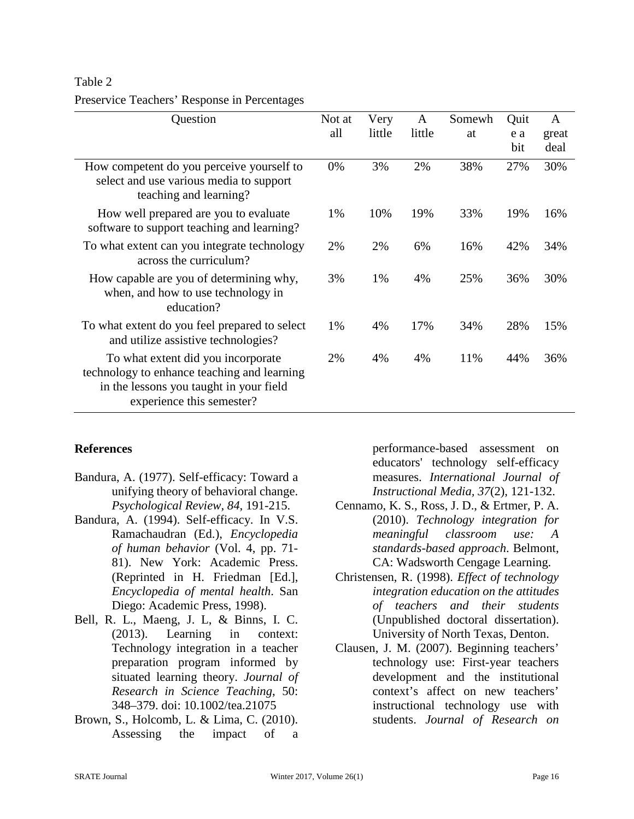| Question                                                                                                                                                  | Not at<br>all | Very<br>little | A<br>little | Somewh<br>at | Quit<br>e a | $\mathbf{A}$<br>great |
|-----------------------------------------------------------------------------------------------------------------------------------------------------------|---------------|----------------|-------------|--------------|-------------|-----------------------|
|                                                                                                                                                           |               |                |             |              | bit         | deal                  |
| How competent do you perceive yourself to<br>select and use various media to support<br>teaching and learning?                                            | 0%            | 3%             | 2%          | 38%          | 27%         | 30%                   |
| How well prepared are you to evaluate<br>software to support teaching and learning?                                                                       | 1%            | 10%            | 19%         | 33%          | 19%         | 16%                   |
| To what extent can you integrate technology<br>across the curriculum?                                                                                     | 2%            | 2%             | 6%          | 16%          | 42%         | 34%                   |
| How capable are you of determining why,<br>when, and how to use technology in<br>education?                                                               | 3%            | 1%             | 4%          | 25%          | 36%         | 30%                   |
| To what extent do you feel prepared to select<br>and utilize assistive technologies?                                                                      | 1%            | 4%             | 17%         | 34%          | 28%         | 15%                   |
| To what extent did you incorporate<br>technology to enhance teaching and learning<br>in the lessons you taught in your field<br>experience this semester? | 2%            | 4%             | 4%          | 11%          | 44%         | 36%                   |

# Table 2 Preservice Teachers' Response in Percentages

#### **References**

- Bandura, A. (1977). Self-efficacy: Toward a unifying theory of behavioral change. *Psychological Review, 84*, 191-215.
- Bandura, A. (1994). Self-efficacy. In V.S. Ramachaudran (Ed.), *Encyclopedia of human behavior* (Vol. 4, pp. 71- 81). New York: Academic Press. (Reprinted in H. Friedman [Ed.], *Encyclopedia of mental health*. San Diego: Academic Press, 1998).
- Bell, R. L., Maeng, J. L, & Binns, I. C. (2013). Learning in context: Technology integration in a teacher preparation program informed by situated learning theory. *Journal of Research in Science Teaching*, 50: 348–379. doi: 10.1002/tea.21075
- Brown, S., Holcomb, L. & Lima, C. (2010). Assessing the impact of a

performance-based assessment on educators' technology self-efficacy measures. *International Journal of Instructional Media, 37*(2), 121-132.

- Cennamo, K. S., Ross, J. D., & Ertmer, P. A. (2010). *Technology integration for meaningful classroom use: A standards-based approach*. Belmont, CA: Wadsworth Cengage Learning.
- Christensen, R. (1998). *Effect of technology integration education on the attitudes of teachers and their students*  (Unpublished doctoral dissertation). University of North Texas, Denton.
- Clausen, J. M. (2007). Beginning teachers' technology use: First-year teachers development and the institutional context's affect on new teachers' instructional technology use with students. *Journal of Research on*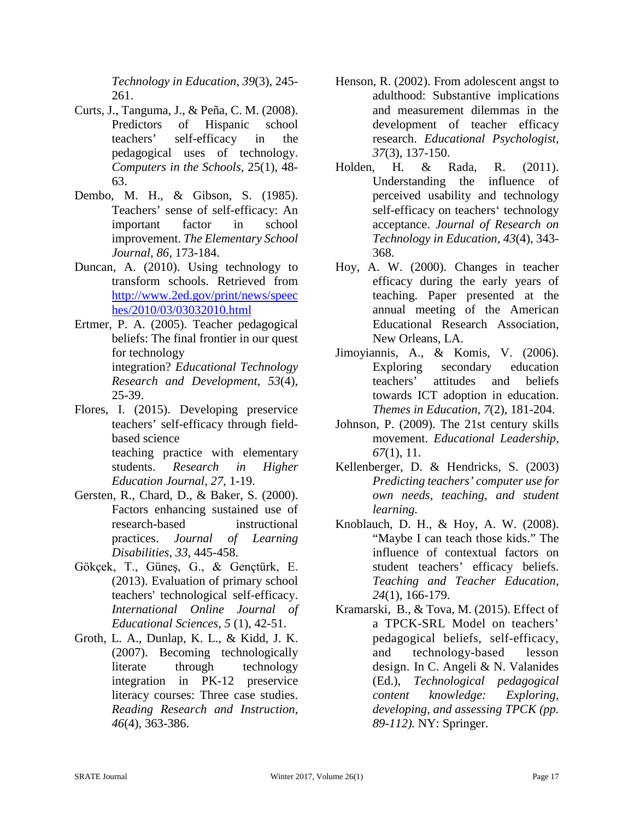*Technology in Education, 39*(3), 245- 261.

- Curts, J., Tanguma, J., & Peña, C. M. (2008). Predictors of Hispanic school teachers' self-efficacy in the pedagogical uses of technology. *Computers in the Schools,* 25(1), 48- 63.
- Dembo, M. H., & Gibson, S. (1985). Teachers' sense of self-efficacy: An important factor in school improvement. *The Elementary School Journal, 86*, 173-184.
- Duncan, A. (2010). Using technology to transform schools. Retrieved from [http://www.2ed.gov/print/news/speec](http://www.2ed.gov/print/news/speeches/2010/03/03032010.html) [hes/2010/03/03032010.html](http://www.2ed.gov/print/news/speeches/2010/03/03032010.html)
- Ertmer, P. A. (2005). Teacher pedagogical beliefs: The final frontier in our quest for technology integration? *Educational Technology Research and Development, 53*(4), 25-39.
- Flores, I. (2015). Developing preservice teachers' self-efficacy through fieldbased science teaching practice with elementary students. *Research in Higher Education Journal, 27*, 1-19.
- Gersten, R., Chard, D., & Baker, S. (2000). Factors enhancing sustained use of research-based instructional practices. *Journal of Learning Disabilities, 33*, 445-458.
- Gökçek, T., Güneş, G., & Gençtürk, E. (2013). Evaluation of primary school teachers' technological self-efficacy. *International Online Journal of Educational Sciences, 5* (1), 42-51.
- Groth, L. A., Dunlap, K. L., & Kidd, J. K. (2007). Becoming technologically literate through technology integration in PK-12 preservice literacy courses: Three case studies. *Reading Research and Instruction*, *46*(4), 363-386.
- Henson, R. (2002). From adolescent angst to adulthood: Substantive implications and measurement dilemmas in the development of teacher efficacy research. *Educational Psychologist, 37*(3), 137-150.
- Holden, H. & Rada, R. (2011). Understanding the influence of perceived usability and technology self-efficacy on teachers' technology acceptance. *Journal of Research on Technology in Education, 43*(4), 343- 368.
- Hoy, A. W. (2000). Changes in teacher efficacy during the early years of teaching. Paper presented at the annual meeting of the American Educational Research Association, New Orleans, LA.
- Jimoyiannis, A., & Komis, V. (2006). Exploring secondary education teachers' attitudes and beliefs towards ICT adoption in education. *Themes in Education, 7*(2)*,* 181-204.
- Johnson, P. (2009). The 21st century skills movement. *Educational Leadership, 67*(1), 11.
- Kellenberger, D. & Hendricks, S. (2003) *Predicting teachers' computer use for own needs, teaching, and student learning.*
- Knoblauch, D. H., & Hoy, A. W. (2008). "Maybe I can teach those kids." The influence of contextual factors on student teachers' efficacy beliefs. *Teaching and Teacher Education, 24*(1), 166-179.
- [Kramarski,](http://link.springer.com/search?facet-author=%22Bracha+Kramarski%22) B., & [Tova,](http://link.springer.com/search?facet-author=%22Tova+Michalsky%22) M. (2015). Effect of a TPCK-SRL Model on teachers' pedagogical beliefs, self-efficacy, and technology-based lesson design. In C. Angeli & N. Valanides (Ed.), *[Technological](http://link.springer.com/book/10.1007/978-1-4899-8080-9) pedagogical content [knowledge:](http://link.springer.com/book/10.1007/978-1-4899-8080-9) Exploring, developing, and assessing TPCK (pp. 89-112).* NY: Springer.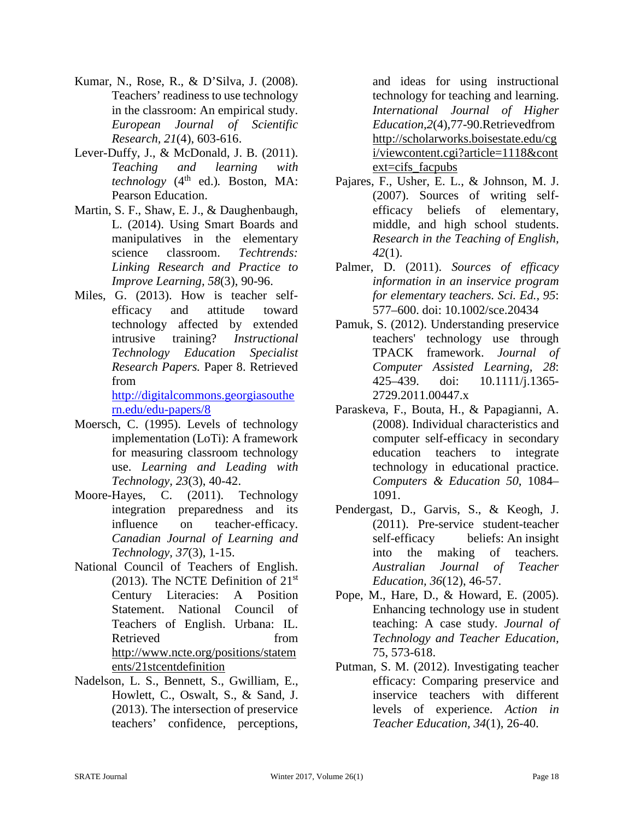- Kumar, N., Rose, R., & D'Silva, J. (2008). Teachers' readiness to use technology in the classroom: An empirical study. *European Journal of Scientific Research, 21*(4), 603-616.
- Lever-Duffy, J., & McDonald, J. B. (2011). *Teaching and learning with technology* (4<sup>th</sup> ed.). Boston, MA: Pearson Education.
- Martin, S. F., Shaw, E. J., & Daughenbaugh, L. (2014). Using Smart Boards and manipulatives in the elementary science classroom. *Techtrends: Linking Research and Practice to Improve Learning, 58*(3), 90-96.
- Miles, G. (2013). How is teacher selfefficacy and attitude toward technology affected by extended intrusive training? *Instructional Technology Education Specialist Research Papers.* Paper 8. Retrieved from

[http://digitalcommons.georgiasouthe](http://digitalcommons.georgiasouthern.edu/edu-papers/8) [rn.edu/edu-papers/8](http://digitalcommons.georgiasouthern.edu/edu-papers/8)

- Moersch, C. (1995). Levels of technology implementation (LoTi): A framework for measuring classroom technology use. *Learning and Leading with Technology, 23*(3), 40-42.
- Moore-Hayes, C. (2011). Technology integration preparedness and its influence on teacher-efficacy. *Canadian Journal of Learning and Technology, 37*(3), 1-15.
- National Council of Teachers of English. (2013). The NCTE Definition of  $21<sup>st</sup>$ Century Literacies: A Position Statement. National Council of Teachers of English. Urbana: IL. Retrieved from [http://www.ncte.org/positions/statem](http://www.ncte.org/positions/statements/21stcentdefinition) [ents/21stcentdefinition](http://www.ncte.org/positions/statements/21stcentdefinition)
- Nadelson, L. S., Bennett, S., Gwilliam, E., Howlett, C., Oswalt, S., & Sand, J. (2013). The intersection of preservice teachers' confidence, perceptions,

and ideas for using instructional technology for teaching and learning. *International Journal of Higher Education,2*(4),77-90.Retrievedfrom [http://scholarworks.boisestate.edu/cg](http://scholarworks.boisestate.edu/cgi/viewcontent.cgi?article=1118&context=cifs_facpubs) [i/viewcontent.cgi?article=1118&cont](http://scholarworks.boisestate.edu/cgi/viewcontent.cgi?article=1118&context=cifs_facpubs) ext=cifs facpubs

- Pajares, F., Usher, E. L., & Johnson, M. J. (2007). Sources of writing selfefficacy beliefs of elementary, middle, and high school students. *Research in the Teaching of English, 42*(1).
- Palmer, D. (2011). *Sources of efficacy information in an inservice program for elementary teachers. Sci. Ed., 95*: 577–600. doi: 10.1002/sce.20434
- Pamuk, S. (2012). Understanding preservice teachers' technology use through TPACK framework. *Journal of Computer Assisted Learning, 28*: 425–439. doi: 10.1111/j.1365- 2729.2011.00447.x
- Paraskeva, F., Bouta, H., & Papagianni, A. (2008). Individual characteristics and computer self-efficacy in secondary education teachers to integrate technology in educational practice. *Computers & Education 50*, 1084– 1091.
- Pendergast, D., Garvis, S., & Keogh, J. (2011). Pre-service student-teacher self-efficacy beliefs: An insight into the making of teachers*. Australian Journal of Teacher Education, 36*(12), 46-57.
- Pope, M., Hare, D., & Howard, E. (2005). Enhancing technology use in student teaching: A case study. *Journal of Technology and Teacher Education,*  75, 573-618.
- Putman, S. M. (2012). Investigating teacher efficacy: Comparing preservice and inservice teachers with different levels of experience. *Action in Teacher Education, 34*(1), 26-40.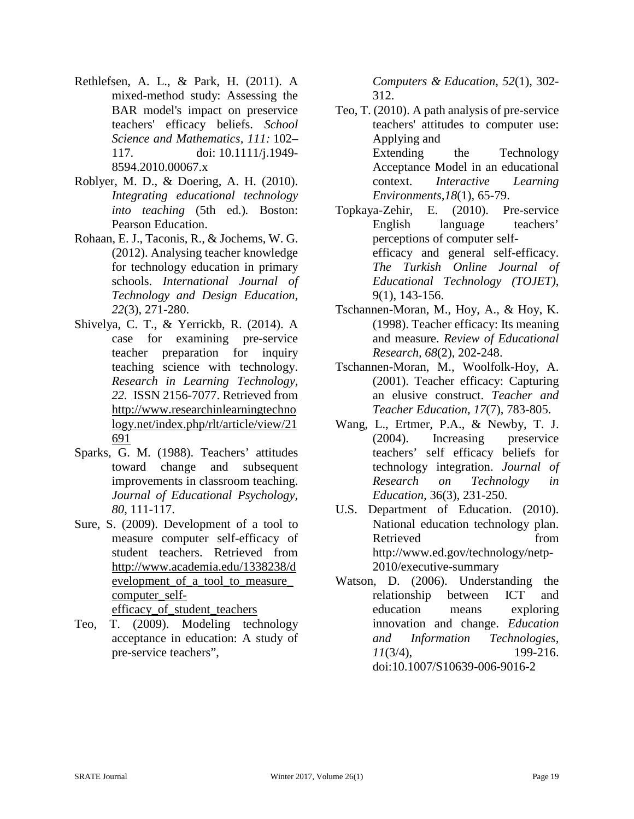- Rethlefsen, A. L., & Park, H. (2011). A mixed-method study: Assessing the BAR model's impact on preservice teachers' efficacy beliefs. *School Science and Mathematics, 111:* 102– 117. doi: 10.1111/j.1949- 8594.2010.00067.x
- Roblyer, M. D., & Doering, A. H. (2010). *Integrating educational technology into teaching* (5th ed.)*.* Boston: Pearson Education.
- Rohaan, E. J., Taconis, R., & Jochems, W. G. (2012). Analysing teacher knowledge for technology education in primary schools. *International Journal of Technology and Design Education, 22*(3), 271-280.
- Shivelya, C. T., & Yerrickb, R. (2014). A case for examining pre-service teacher preparation for inquiry teaching science with technology. *Research in Learning Technology, 22.* ISSN 2156-7077. Retrieved from [http://www.researchinlearningtechno](http://www.researchinlearningtechnology.net/index.php/rlt/article/view/21691) [logy.net/index.php/rlt/article/view/21](http://www.researchinlearningtechnology.net/index.php/rlt/article/view/21691) [691](http://www.researchinlearningtechnology.net/index.php/rlt/article/view/21691)
- Sparks, G. M. (1988). Teachers' attitudes toward change and subsequent improvements in classroom teaching. *Journal of Educational Psychology, 80*, 111-117.
- Sure, S. (2009). Development of a tool to measure computer self-efficacy of student teachers. Retrieved from [http://www.academia.edu/1338238/d](http://www.academia.edu/1338238/DEVELOPMENT_OF_A_TOOL_TO_MEASURE_COMPUTER_SELF-EFFICACY_OF_STUDENT_TEACHERS) [evelopment\\_of\\_a\\_tool\\_to\\_measure\\_](http://www.academia.edu/1338238/DEVELOPMENT_OF_A_TOOL_TO_MEASURE_COMPUTER_SELF-EFFICACY_OF_STUDENT_TEACHERS) [computer\\_self](http://www.academia.edu/1338238/DEVELOPMENT_OF_A_TOOL_TO_MEASURE_COMPUTER_SELF-EFFICACY_OF_STUDENT_TEACHERS)[efficacy\\_of\\_student\\_teachers](http://www.academia.edu/1338238/DEVELOPMENT_OF_A_TOOL_TO_MEASURE_COMPUTER_SELF-EFFICACY_OF_STUDENT_TEACHERS)
- Teo, T. (2009). Modeling technology acceptance in education: A study of pre-service teachers",

*Computers & Education*, *52*(1), 302- 312.

- Teo, T. (2010). A path analysis of pre-service teachers' attitudes to computer use: Applying and Extending the Technology Acceptance Model in an educational context. *Interactive Learning Environments,18*(1), 65-79.
- Topkaya-Zehir, E. (2010). Pre-service English language teachers' perceptions of computer selfefficacy and general self-efficacy. *The Turkish Online Journal of Educational Technology (TOJET)*, 9(1), 143-156.
- Tschannen-Moran, M., Hoy, A., & Hoy, K. (1998). Teacher efficacy: Its meaning and measure. *Review of Educational Research, 68*(2), 202-248.
- Tschannen-Moran, M., Woolfolk-Hoy, A. (2001). Teacher efficacy: Capturing an elusive construct. *Teacher and Teacher Education, 17*(7), 783-805.
- Wang, L., Ertmer, P.A., & Newby, T. J. (2004). Increasing preservice teachers' self efficacy beliefs for technology integration. *Journal of Research on Technology in Education,* 36(3), 231-250.
- U.S. Department of Education. (2010). National education technology plan. Retrieved from http://www.ed.gov/technology/netp-2010/executive-summary
- Watson, D. (2006). Understanding the relationship between ICT and education means exploring innovation and change. *Education and Information Technologies, 11*(3/4), 199-216. doi:10.1007/S10639-006-9016-2